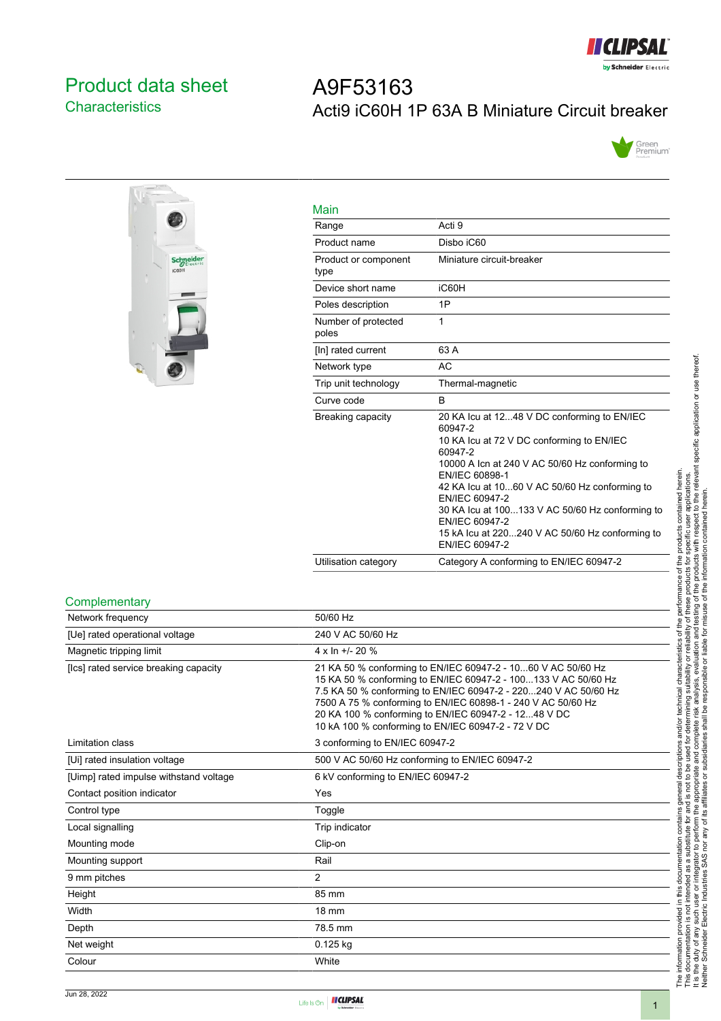

# <span id="page-0-0"></span>Product data sheet **Characteristics**

# A9F53163 Acti9 iC60H 1P 63A B Miniature Circuit breaker





| Main                         |                                                                                                                                                                                                                                                                                                                                                                                                 |
|------------------------------|-------------------------------------------------------------------------------------------------------------------------------------------------------------------------------------------------------------------------------------------------------------------------------------------------------------------------------------------------------------------------------------------------|
| Range                        | Acti 9                                                                                                                                                                                                                                                                                                                                                                                          |
| Product name                 | Disbo iC60                                                                                                                                                                                                                                                                                                                                                                                      |
| Product or component<br>type | Miniature circuit-breaker                                                                                                                                                                                                                                                                                                                                                                       |
| Device short name            | iC60H                                                                                                                                                                                                                                                                                                                                                                                           |
| Poles description            | 1P                                                                                                                                                                                                                                                                                                                                                                                              |
| Number of protected<br>poles | 1                                                                                                                                                                                                                                                                                                                                                                                               |
| [In] rated current           | 63 A                                                                                                                                                                                                                                                                                                                                                                                            |
| Network type                 | <b>AC</b>                                                                                                                                                                                                                                                                                                                                                                                       |
| Trip unit technology         | Thermal-magnetic                                                                                                                                                                                                                                                                                                                                                                                |
| Curve code                   | B                                                                                                                                                                                                                                                                                                                                                                                               |
| Breaking capacity            | 20 KA Icu at 1248 V DC conforming to EN/IEC<br>60947-2<br>10 KA Icu at 72 V DC conforming to EN/IEC<br>60947-2<br>10000 A Icn at 240 V AC 50/60 Hz conforming to<br>EN/IEC 60898-1<br>42 KA Icu at 1060 V AC 50/60 Hz conforming to<br>EN/IEC 60947-2<br>30 KA lcu at 100133 V AC 50/60 Hz conforming to<br>EN/IEC 60947-2<br>15 kA Icu at 220240 V AC 50/60 Hz conforming to<br>EN/IEC 60947-2 |
| Utilisation category         | Category A conforming to EN/IEC 60947-2                                                                                                                                                                                                                                                                                                                                                         |

#### **Complementary**

| Network frequency                      | 50/60 Hz                                                                                                                                                                                                                                                                                                                                                                        |
|----------------------------------------|---------------------------------------------------------------------------------------------------------------------------------------------------------------------------------------------------------------------------------------------------------------------------------------------------------------------------------------------------------------------------------|
| [Ue] rated operational voltage         | 240 V AC 50/60 Hz                                                                                                                                                                                                                                                                                                                                                               |
| Magnetic tripping limit                | $4 \times \ln 11 - 20$ %                                                                                                                                                                                                                                                                                                                                                        |
| [Ics] rated service breaking capacity  | 21 KA 50 % conforming to EN/IEC 60947-2 - 1060 V AC 50/60 Hz<br>15 KA 50 % conforming to EN/IEC 60947-2 - 100133 V AC 50/60 Hz<br>7.5 KA 50 % conforming to EN/IEC 60947-2 - 220240 V AC 50/60 Hz<br>7500 A 75 % conforming to EN/IEC 60898-1 - 240 V AC 50/60 Hz<br>20 KA 100 % conforming to EN/IEC 60947-2 - 1248 V DC<br>10 kA 100 % conforming to EN/IEC 60947-2 - 72 V DC |
| Limitation class                       | 3 conforming to EN/IEC 60947-2                                                                                                                                                                                                                                                                                                                                                  |
| [Ui] rated insulation voltage          | 500 V AC 50/60 Hz conforming to EN/IEC 60947-2                                                                                                                                                                                                                                                                                                                                  |
| [Uimp] rated impulse withstand voltage | 6 kV conforming to EN/IEC 60947-2                                                                                                                                                                                                                                                                                                                                               |
| Contact position indicator             | Yes                                                                                                                                                                                                                                                                                                                                                                             |
| Control type                           | Toggle                                                                                                                                                                                                                                                                                                                                                                          |
| Local signalling                       | Trip indicator                                                                                                                                                                                                                                                                                                                                                                  |
| Mounting mode                          | Clip-on                                                                                                                                                                                                                                                                                                                                                                         |
| Mounting support                       | Rail                                                                                                                                                                                                                                                                                                                                                                            |
| 9 mm pitches                           | $\overline{2}$                                                                                                                                                                                                                                                                                                                                                                  |
| Height                                 | 85 mm                                                                                                                                                                                                                                                                                                                                                                           |
| Width                                  | <b>18 mm</b>                                                                                                                                                                                                                                                                                                                                                                    |
| Depth                                  | 78.5 mm                                                                                                                                                                                                                                                                                                                                                                         |
| Net weight                             | $0.125$ kg                                                                                                                                                                                                                                                                                                                                                                      |
| Colour                                 | White                                                                                                                                                                                                                                                                                                                                                                           |